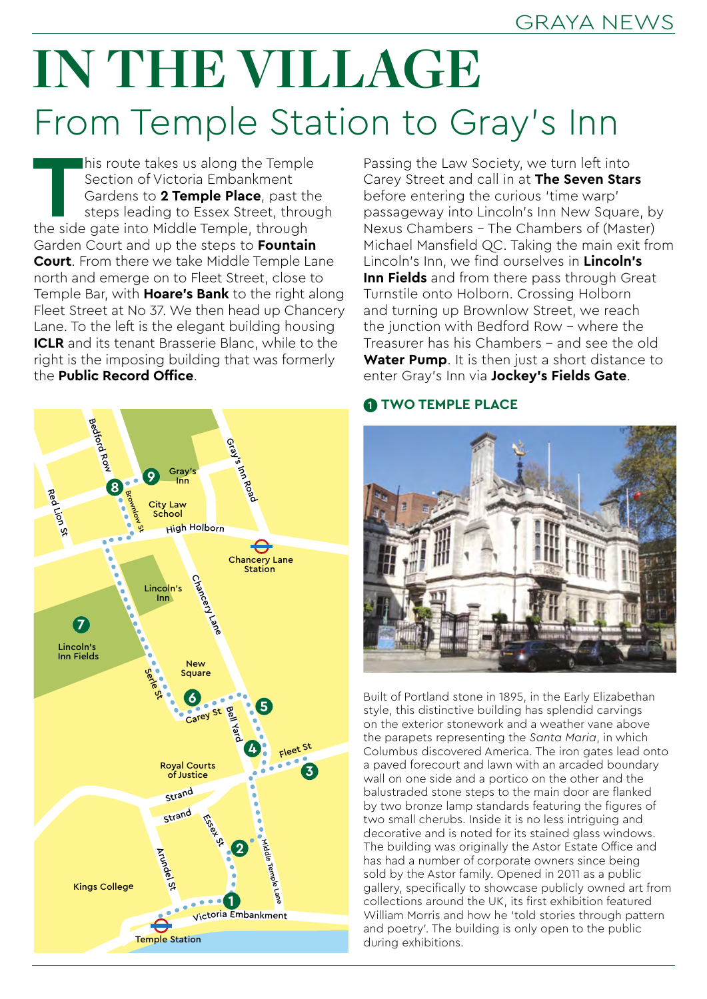# **IN THE VILLAGE** From Temple Station to Gray's Inn

This route takes us along the Temple<br>
Section of Victoria Embankment<br>
Gardens to **2 Temple Place**, past the<br>
steps leading to Essex Street, through<br>
the side gate into Middle Temple, through Section of Victoria Embankment Gardens to **2 Temple Place**, past the steps leading to Essex Street, through Garden Court and up the steps to **Fountain Court**. From there we take Middle Temple Lane north and emerge on to Fleet Street, close to Temple Bar, with **Hoare's Bank** to the right along Fleet Street at No 37. We then head up Chancery Lane. To the left is the elegant building housing **ICLR** and its tenant Brasserie Blanc, while to the right is the imposing building that was formerly the **Public Record Office**.



Passing the Law Society, we turn left into Carey Street and call in at **The Seven Stars** before entering the curious 'time warp' passageway into Lincoln's Inn New Square, by Nexus Chambers – The Chambers of (Master) Michael Mansfield QC. Taking the main exit from Lincoln's Inn, we find ourselves in **Lincoln's Inn Fields** and from there pass through Great Turnstile onto Holborn. Crossing Holborn and turning up Brownlow Street, we reach the junction with Bedford Row – where the Treasurer has his Chambers – and see the old **Water Pump.** It is then just a short distance to enter Gray's Inn via **Jockey's Fields Gate**.

## **1 TWO TEMPLE PLACE**



Built of Portland stone in 1895, in the Early Elizabethan style, this distinctive building has splendid carvings on the exterior stonework and a weather vane above the parapets representing the *Santa Maria*, in which Columbus discovered America. The iron gates lead onto a paved forecourt and lawn with an arcaded boundary wall on one side and a portico on the other and the balustraded stone steps to the main door are flanked by two bronze lamp standards featuring the figures of two small cherubs. Inside it is no less intriguing and decorative and is noted for its stained glass windows. The building was originally the Astor Estate Office and has had a number of corporate owners since being sold by the Astor family. Opened in 2011 as a public gallery, specifically to showcase publicly owned art from collections around the UK, its first exhibition featured William Morris and how he 'told stories through pattern and poetry'. The building is only open to the public during exhibitions.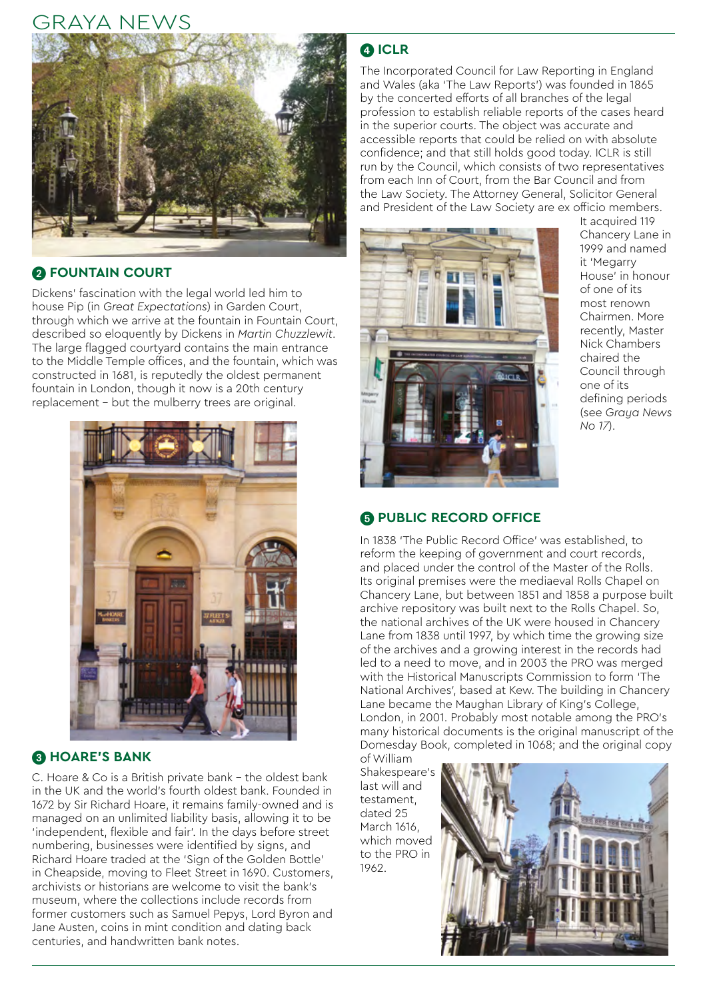# GRAYA NEWS



## **2 FOUNTAIN COURT**

Dickens' fascination with the legal world led him to house Pip (in *Great Expectations*) in Garden Court, through which we arrive at the fountain in Fountain Court, described so eloquently by Dickens in *Martin Chuzzlewit*. The large flagged courtyard contains the main entrance to the Middle Temple offices, and the fountain, which was constructed in 1681, is reputedly the oldest permanent fountain in London, though it now is a 20th century replacement – but the mulberry trees are original.



### **8 HOARE'S BANK**

C. Hoare & Co is a British private bank – the oldest bank in the UK and the world's fourth oldest bank. Founded in 1672 by Sir Richard Hoare, it remains family-owned and is managed on an unlimited liability basis, allowing it to be 'independent, flexible and fair'. In the days before street numbering, businesses were identified by signs, and Richard Hoare traded at the 'Sign of the Golden Bottle' in Cheapside, moving to Fleet Street in 1690. Customers, archivists or historians are welcome to visit the bank's museum, where the collections include records from former customers such as Samuel Pepys, Lord Byron and Jane Austen, coins in mint condition and dating back centuries, and handwritten bank notes.

## 4 **ICLR**

The Incorporated Council for Law Reporting in England and Wales (aka 'The Law Reports') was founded in 1865 by the concerted efforts of all branches of the legal profession to establish reliable reports of the cases heard in the superior courts. The object was accurate and accessible reports that could be relied on with absolute confidence; and that still holds good today. ICLR is still run by the Council, which consists of two representatives from each Inn of Court, from the Bar Council and from the Law Society. The Attorney General, Solicitor General and President of the Law Society are ex officio members.



It acquired 119 Chancery Lane in 1999 and named it 'Megarry House' in honour of one of its most renown Chairmen. More recently, Master Nick Chambers chaired the Council through one of its defining periods (see *Graya News No 17*).

## **6 PUBLIC RECORD OFFICE**

In 1838 'The Public Record Office' was established, to reform the keeping of government and court records, and placed under the control of the Master of the Rolls. Its original premises were the mediaeval Rolls Chapel on Chancery Lane, but between 1851 and 1858 a purpose built archive repository was built next to the Rolls Chapel. So, the national archives of the UK were housed in Chancery Lane from 1838 until 1997, by which time the growing size of the archives and a growing interest in the records had led to a need to move, and in 2003 the PRO was merged with the Historical Manuscripts Commission to form 'The National Archives', based at Kew. The building in Chancery Lane became the Maughan Library of King's College, London, in 2001. Probably most notable among the PRO's many historical documents is the original manuscript of the Domesday Book, completed in 1068; and the original copy of William

Shakespeare's last will and testament, dated 25 March 1616, which moved to the PRO in 1962.